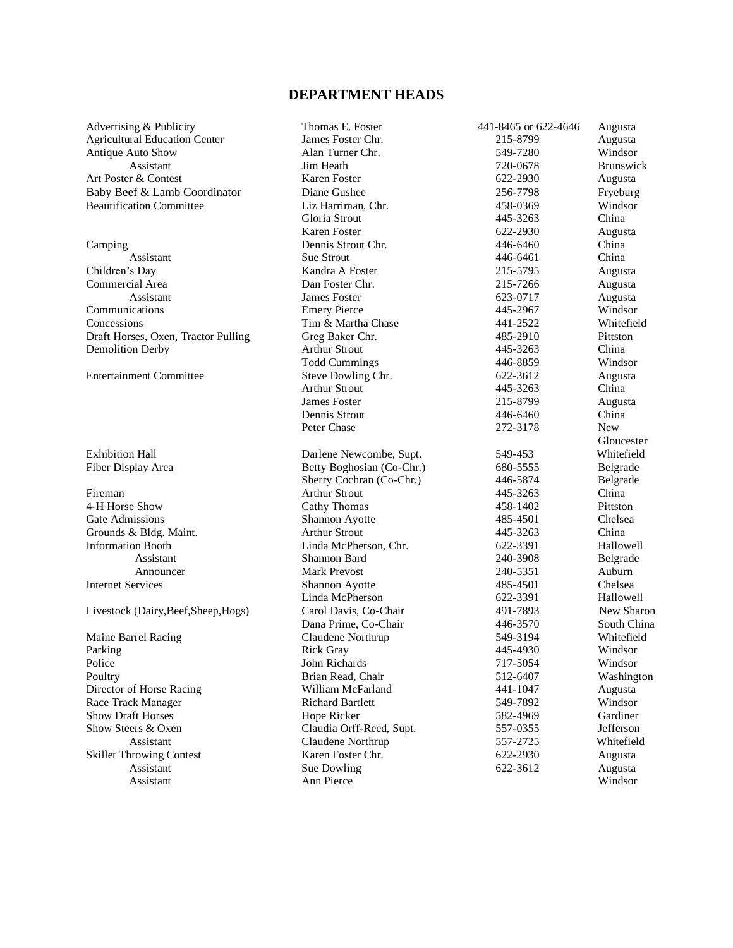## **DEPARTMENT HEADS**

| Advertising & Publicity              | Thomas E. Foster          | 441-8465 or 622-4646 | Augusta          |
|--------------------------------------|---------------------------|----------------------|------------------|
| <b>Agricultural Education Center</b> | James Foster Chr.         | 215-8799             | Augusta          |
| Antique Auto Show                    | Alan Turner Chr.          | 549-7280             | Windsor          |
| Assistant                            | Jim Heath                 | 720-0678             | <b>Brunswick</b> |
| Art Poster & Contest                 | <b>Karen Foster</b>       | 622-2930             | Augusta          |
| Baby Beef & Lamb Coordinator         | Diane Gushee              | 256-7798             | Fryeburg         |
| <b>Beautification Committee</b>      | Liz Harriman, Chr.        | 458-0369             | Windsor          |
|                                      | Gloria Strout             | 445-3263             | China            |
|                                      | <b>Karen Foster</b>       | 622-2930             | Augusta          |
| Camping                              | Dennis Strout Chr.        | 446-6460             | China            |
| Assistant                            | <b>Sue Strout</b>         | 446-6461             | China            |
| Children's Day                       | Kandra A Foster           | 215-5795             | Augusta          |
| Commercial Area                      | Dan Foster Chr.           | 215-7266             | Augusta          |
| Assistant                            | <b>James Foster</b>       | 623-0717             | Augusta          |
| Communications                       | <b>Emery Pierce</b>       | 445-2967             | Windsor          |
| Concessions                          | Tim & Martha Chase        | 441-2522             | Whitefield       |
| Draft Horses, Oxen, Tractor Pulling  | Greg Baker Chr.           | 485-2910             | Pittston         |
| <b>Demolition Derby</b>              | <b>Arthur Strout</b>      | 445-3263             | China            |
|                                      | <b>Todd Cummings</b>      | 446-8859             | Windsor          |
| <b>Entertainment Committee</b>       | Steve Dowling Chr.        | 622-3612             | Augusta          |
|                                      | <b>Arthur Strout</b>      | 445-3263             | China            |
|                                      | <b>James Foster</b>       | 215-8799             | Augusta          |
|                                      | Dennis Strout             | 446-6460             | China            |
|                                      | Peter Chase               | 272-3178             | <b>New</b>       |
|                                      |                           |                      | Gloucester       |
| <b>Exhibition Hall</b>               | Darlene Newcombe, Supt.   | 549-453              | Whitefield       |
| Fiber Display Area                   | Betty Boghosian (Co-Chr.) | 680-5555             | Belgrade         |
|                                      | Sherry Cochran (Co-Chr.)  | 446-5874             | Belgrade         |
| Fireman                              | <b>Arthur Strout</b>      | 445-3263             | China            |
| 4-H Horse Show                       | Cathy Thomas              | 458-1402             | Pittston         |
| <b>Gate Admissions</b>               | Shannon Ayotte            | 485-4501             | Chelsea          |
| Grounds & Bldg. Maint.               | <b>Arthur Strout</b>      | 445-3263             | China            |
| <b>Information Booth</b>             | Linda McPherson, Chr.     | 622-3391             | Hallowell        |
| Assistant                            | Shannon Bard              | 240-3908             | Belgrade         |
| Announcer                            | <b>Mark Prevost</b>       | 240-5351             | Auburn           |
| <b>Internet Services</b>             | Shannon Ayotte            | 485-4501             | Chelsea          |
|                                      | Linda McPherson           | 622-3391             | Hallowell        |
| Livestock (Dairy, Beef, Sheep, Hogs) | Carol Davis, Co-Chair     | 491-7893             | New Sharon       |
|                                      | Dana Prime, Co-Chair      | 446-3570             | South China      |
| Maine Barrel Racing                  | Claudene Northrup         | 549-3194             | Whitefield       |
| Parking                              | <b>Rick Gray</b>          | 445-4930             | Windsor          |
| Police                               | John Richards             | 717-5054             | Windsor          |
| Poultry                              | Brian Read, Chair         | 512-6407             | Washington       |
| Director of Horse Racing             | William McFarland         | 441-1047             | Augusta          |
| Race Track Manager                   | <b>Richard Bartlett</b>   | 549-7892             | Windsor          |
| <b>Show Draft Horses</b>             | Hope Ricker               | 582-4969             | Gardiner         |
| Show Steers & Oxen                   | Claudia Orff-Reed, Supt.  | 557-0355             | Jefferson        |
| Assistant                            | Claudene Northrup         | 557-2725             | Whitefield       |
| <b>Skillet Throwing Contest</b>      | Karen Foster Chr.         | 622-2930             | Augusta          |
| Assistant                            | Sue Dowling               | 622-3612             | Augusta          |
| Assistant                            | Ann Pierce                |                      | Windsor          |
|                                      |                           |                      |                  |